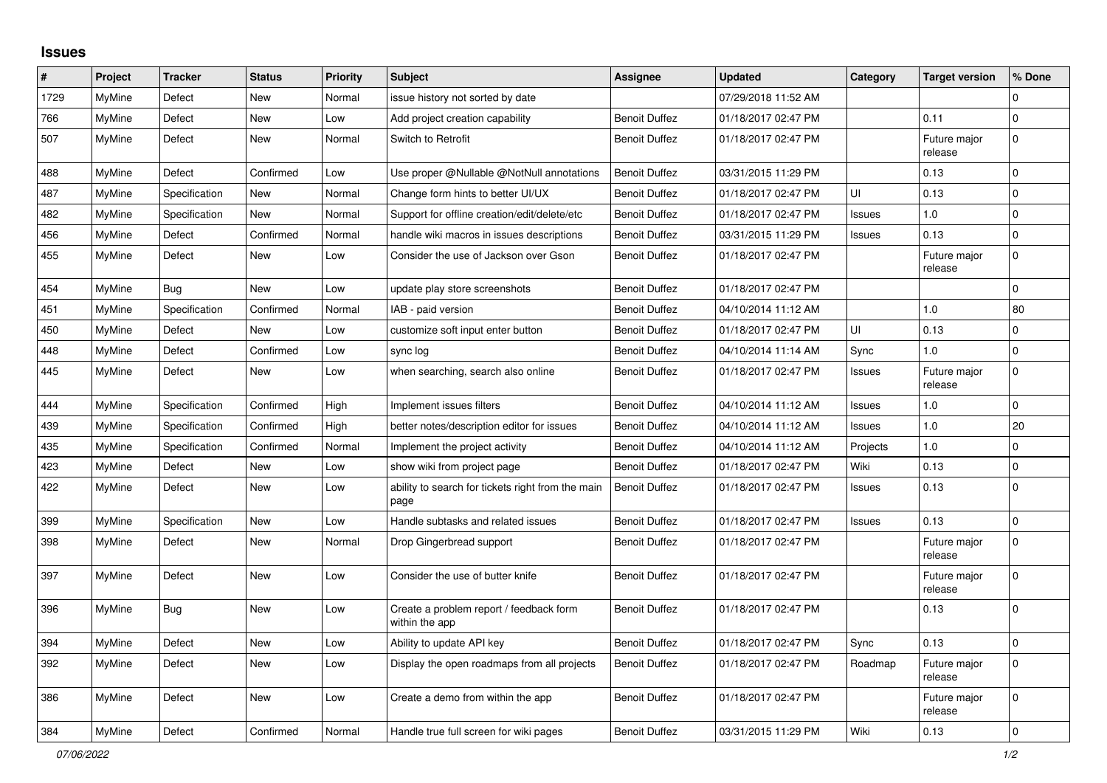## **Issues**

| $\#$ | Project       | <b>Tracker</b> | <b>Status</b> | <b>Priority</b> | <b>Subject</b>                                            | <b>Assignee</b>      | <b>Updated</b>      | Category      | <b>Target version</b>   | % Done         |
|------|---------------|----------------|---------------|-----------------|-----------------------------------------------------------|----------------------|---------------------|---------------|-------------------------|----------------|
| 1729 | MyMine        | Defect         | New           | Normal          | issue history not sorted by date                          |                      | 07/29/2018 11:52 AM |               |                         | $\Omega$       |
| 766  | MyMine        | Defect         | New           | Low             | Add project creation capability                           | <b>Benoit Duffez</b> | 01/18/2017 02:47 PM |               | 0.11                    | $\pmb{0}$      |
| 507  | MyMine        | Defect         | New           | Normal          | Switch to Retrofit                                        | <b>Benoit Duffez</b> | 01/18/2017 02:47 PM |               | Future major<br>release | $\mathbf 0$    |
| 488  | <b>MyMine</b> | Defect         | Confirmed     | Low             | Use proper @Nullable @NotNull annotations                 | <b>Benoit Duffez</b> | 03/31/2015 11:29 PM |               | 0.13                    | $\mathbf 0$    |
| 487  | MyMine        | Specification  | New           | Normal          | Change form hints to better UI/UX                         | <b>Benoit Duffez</b> | 01/18/2017 02:47 PM | UI            | 0.13                    | $\mathbf 0$    |
| 482  | <b>MyMine</b> | Specification  | <b>New</b>    | Normal          | Support for offline creation/edit/delete/etc              | <b>Benoit Duffez</b> | 01/18/2017 02:47 PM | <b>Issues</b> | 1.0                     | $\mathbf 0$    |
| 456  | MyMine        | Defect         | Confirmed     | Normal          | handle wiki macros in issues descriptions                 | <b>Benoit Duffez</b> | 03/31/2015 11:29 PM | Issues        | 0.13                    | $\Omega$       |
| 455  | MyMine        | Defect         | New           | Low             | Consider the use of Jackson over Gson                     | <b>Benoit Duffez</b> | 01/18/2017 02:47 PM |               | Future major<br>release | $\mathbf 0$    |
| 454  | <b>MyMine</b> | Bug            | <b>New</b>    | Low             | update play store screenshots                             | <b>Benoit Duffez</b> | 01/18/2017 02:47 PM |               |                         | $\mathbf 0$    |
| 451  | MyMine        | Specification  | Confirmed     | Normal          | IAB - paid version                                        | <b>Benoit Duffez</b> | 04/10/2014 11:12 AM |               | 1.0                     | 80             |
| 450  | MyMine        | Defect         | New           | Low             | customize soft input enter button                         | <b>Benoit Duffez</b> | 01/18/2017 02:47 PM | UI            | 0.13                    | 0              |
| 448  | MyMine        | Defect         | Confirmed     | Low             | sync log                                                  | <b>Benoit Duffez</b> | 04/10/2014 11:14 AM | Sync          | 1.0                     | $\mathbf 0$    |
| 445  | MyMine        | Defect         | <b>New</b>    | Low             | when searching, search also online                        | <b>Benoit Duffez</b> | 01/18/2017 02:47 PM | Issues        | Future major<br>release | $\Omega$       |
| 444  | MyMine        | Specification  | Confirmed     | High            | Implement issues filters                                  | <b>Benoit Duffez</b> | 04/10/2014 11:12 AM | Issues        | 1.0                     | $\mathbf{0}$   |
| 439  | MyMine        | Specification  | Confirmed     | High            | better notes/description editor for issues                | <b>Benoit Duffez</b> | 04/10/2014 11:12 AM | <b>Issues</b> | 1.0                     | 20             |
| 435  | MyMine        | Specification  | Confirmed     | Normal          | Implement the project activity                            | <b>Benoit Duffez</b> | 04/10/2014 11:12 AM | Projects      | 1.0                     | $\Omega$       |
| 423  | MyMine        | Defect         | New           | Low             | show wiki from project page                               | <b>Benoit Duffez</b> | 01/18/2017 02:47 PM | Wiki          | 0.13                    | $\mathbf 0$    |
| 422  | MyMine        | Defect         | New           | Low             | ability to search for tickets right from the main<br>page | <b>Benoit Duffez</b> | 01/18/2017 02:47 PM | Issues        | 0.13                    | $\Omega$       |
| 399  | MyMine        | Specification  | New           | Low             | Handle subtasks and related issues                        | <b>Benoit Duffez</b> | 01/18/2017 02:47 PM | <b>Issues</b> | 0.13                    | $\pmb{0}$      |
| 398  | MyMine        | Defect         | New           | Normal          | Drop Gingerbread support                                  | <b>Benoit Duffez</b> | 01/18/2017 02:47 PM |               | Future major<br>release | $\Omega$       |
| 397  | MyMine        | Defect         | <b>New</b>    | Low             | Consider the use of butter knife                          | <b>Benoit Duffez</b> | 01/18/2017 02:47 PM |               | Future major<br>release | $\Omega$       |
| 396  | MyMine        | Bug            | New           | Low             | Create a problem report / feedback form<br>within the app | <b>Benoit Duffez</b> | 01/18/2017 02:47 PM |               | 0.13                    | $\mathbf 0$    |
| 394  | <b>MyMine</b> | Defect         | <b>New</b>    | Low             | Ability to update API key                                 | <b>Benoit Duffez</b> | 01/18/2017 02:47 PM | Sync          | 0.13                    | $\Omega$       |
| 392  | MyMine        | Defect         | <b>New</b>    | Low             | Display the open roadmaps from all projects               | <b>Benoit Duffez</b> | 01/18/2017 02:47 PM | Roadmap       | Future major<br>release | 0              |
| 386  | <b>MyMine</b> | Defect         | <b>New</b>    | Low             | Create a demo from within the app                         | <b>Benoit Duffez</b> | 01/18/2017 02:47 PM |               | Future major<br>release | $\overline{0}$ |
| 384  | MyMine        | Defect         | Confirmed     | Normal          | Handle true full screen for wiki pages                    | <b>Benoit Duffez</b> | 03/31/2015 11:29 PM | Wiki          | 0.13                    | $\mathbf 0$    |